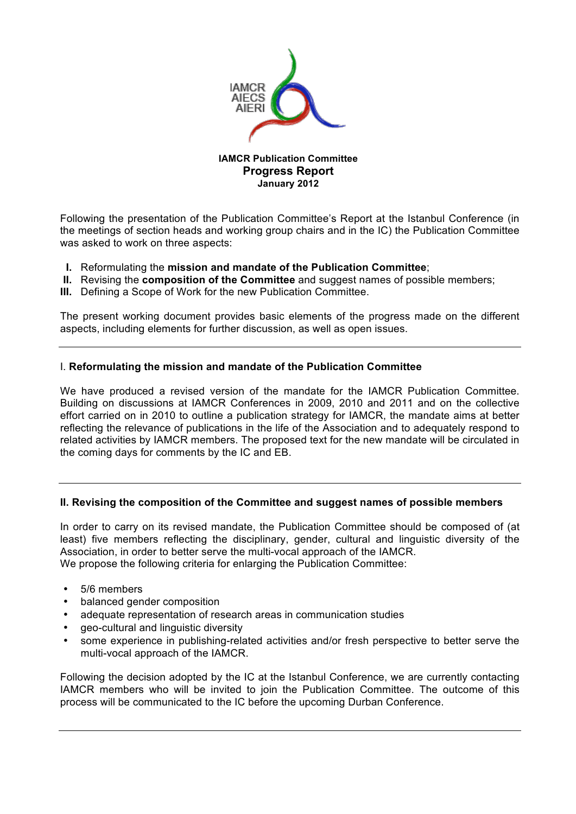

# **IAMCR Publication Committee Progress Report January 2012**

Following the presentation of the Publication Committee's Report at the Istanbul Conference (in the meetings of section heads and working group chairs and in the IC) the Publication Committee was asked to work on three aspects:

- **I.** Reformulating the **mission and mandate of the Publication Committee**;
- **II.** Revising the **composition of the Committee** and suggest names of possible members;
- **III.** Defining a Scope of Work for the new Publication Committee.

The present working document provides basic elements of the progress made on the different aspects, including elements for further discussion, as well as open issues.

# I. **Reformulating the mission and mandate of the Publication Committee**

We have produced a revised version of the mandate for the IAMCR Publication Committee. Building on discussions at IAMCR Conferences in 2009, 2010 and 2011 and on the collective effort carried on in 2010 to outline a publication strategy for IAMCR, the mandate aims at better reflecting the relevance of publications in the life of the Association and to adequately respond to related activities by IAMCR members. The proposed text for the new mandate will be circulated in the coming days for comments by the IC and EB.

# **II. Revising the composition of the Committee and suggest names of possible members**

In order to carry on its revised mandate, the Publication Committee should be composed of (at least) five members reflecting the disciplinary, gender, cultural and linguistic diversity of the Association, in order to better serve the multi-vocal approach of the IAMCR. We propose the following criteria for enlarging the Publication Committee:

- 5/6 members
- balanced gender composition
- adequate representation of research areas in communication studies
- geo-cultural and linguistic diversity
- some experience in publishing-related activities and/or fresh perspective to better serve the multi-vocal approach of the IAMCR.

Following the decision adopted by the IC at the Istanbul Conference, we are currently contacting IAMCR members who will be invited to join the Publication Committee. The outcome of this process will be communicated to the IC before the upcoming Durban Conference.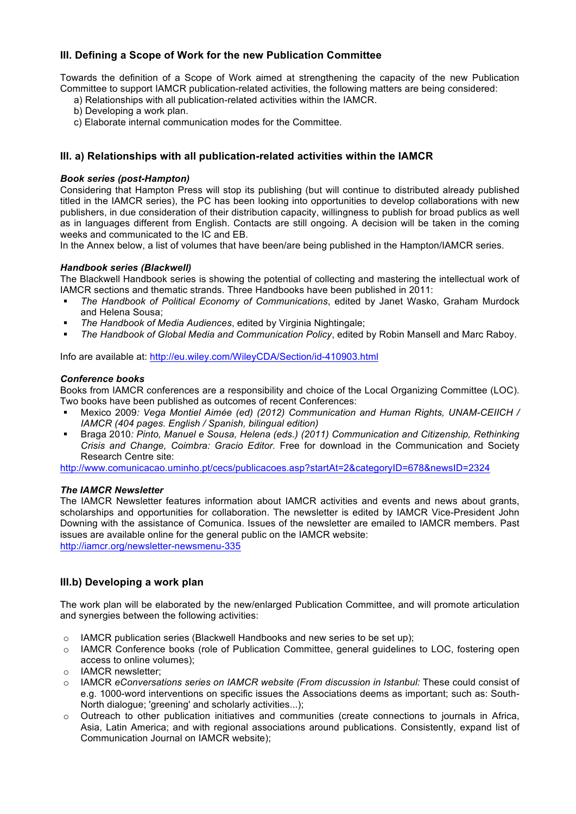# **III. Defining a Scope of Work for the new Publication Committee**

Towards the definition of a Scope of Work aimed at strengthening the capacity of the new Publication Committee to support IAMCR publication-related activities, the following matters are being considered:

- a) Relationships with all publication-related activities within the IAMCR.
- b) Developing a work plan.
- c) Elaborate internal communication modes for the Committee.

# **III. a) Relationships with all publication-related activities within the IAMCR**

### *Book series (post-Hampton)*

Considering that Hampton Press will stop its publishing (but will continue to distributed already published titled in the IAMCR series), the PC has been looking into opportunities to develop collaborations with new publishers, in due consideration of their distribution capacity, willingness to publish for broad publics as well as in languages different from English. Contacts are still ongoing. A decision will be taken in the coming weeks and communicated to the IC and EB.

In the Annex below, a list of volumes that have been/are being published in the Hampton/IAMCR series.

### *Handbook series (Blackwell)*

The Blackwell Handbook series is showing the potential of collecting and mastering the intellectual work of IAMCR sections and thematic strands. Three Handbooks have been published in 2011:

- *The Handbook of Political Economy of Communications*, edited by Janet Wasko, Graham Murdock and Helena Sousa;
- *The Handbook of Media Audiences*, edited by Virginia Nightingale;
- *The Handbook of Global Media and Communication Policy*, edited by Robin Mansell and Marc Raboy.

Info are available at: http://eu.wiley.com/WileyCDA/Section/id-410903.html

#### *Conference books*

Books from IAMCR conferences are a responsibility and choice of the Local Organizing Committee (LOC). Two books have been published as outcomes of recent Conferences:

- Mexico 2009*: Vega Montiel Aimée (ed) (2012) Communication and Human Rights, UNAM-CEIICH / IAMCR (404 pages. English / Spanish, bilingual edition)*
- Braga 2010*: Pinto, Manuel e Sousa, Helena (eds.) (2011) Communication and Citizenship, Rethinking Crisis and Change, Coimbra: Gracio Editor.* Free for download in the Communication and Society Research Centre site:

http://www.comunicacao.uminho.pt/cecs/publicacoes.asp?startAt=2&categoryID=678&newsID=2324

#### *The IAMCR Newsletter*

The IAMCR Newsletter features information about IAMCR activities and events and news about grants, scholarships and opportunities for collaboration. The newsletter is edited by IAMCR Vice-President John Downing with the assistance of Comunica. Issues of the newsletter are emailed to IAMCR members. Past issues are available online for the general public on the IAMCR website:

http://iamcr.org/newsletter-newsmenu-335

# **III.b) Developing a work plan**

The work plan will be elaborated by the new/enlarged Publication Committee, and will promote articulation and synergies between the following activities:

- $\circ$  IAMCR publication series (Blackwell Handbooks and new series to be set up);
- o IAMCR Conference books (role of Publication Committee, general guidelines to LOC, fostering open access to online volumes);
- o IAMCR newsletter;
- o IAMCR *eConversations series on IAMCR website (From discussion in Istanbul:* These could consist of e.g. 1000-word interventions on specific issues the Associations deems as important; such as: South-North dialogue; 'greening' and scholarly activities...);
- o Outreach to other publication initiatives and communities (create connections to journals in Africa, Asia, Latin America; and with regional associations around publications. Consistently, expand list of Communication Journal on IAMCR website);